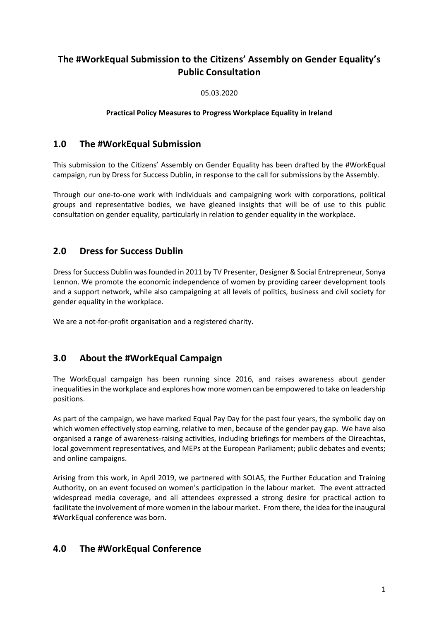# **The #WorkEqual Submission to the Citizens' Assembly on Gender Equality's Public Consultation**

05.03.2020

#### **Practical Policy Measures to Progress Workplace Equality in Ireland**

# **1.0 The #WorkEqual Submission**

This submission to the Citizens' Assembly on Gender Equality has been drafted by the #WorkEqual campaign, run by Dress for Success Dublin, in response to the call for submissions by the Assembly.

Through our one-to-one work with individuals and campaigning work with corporations, political groups and representative bodies, we have gleaned insights that will be of use to this public consultation on gender equality, particularly in relation to gender equality in the workplace.

# **2.0 Dress for Success Dublin**

Dress for Success Dublin was founded in 2011 by TV Presenter, Designer & Social Entrepreneur, Sonya Lennon. We promote the economic independence of women by providing career development tools and a support network, while also campaigning at all levels of politics, business and civil society for gender equality in the workplace.

We are a not-for-profit organisation and a registered charity.

# **3.0 About the #WorkEqual Campaign**

The [WorkEqual](http://dressforsuccessdublin.org/campaigns/workequal/) campaign has been running since 2016, and raises awareness about gender inequalities in the workplace and explores how more women can be empowered to take on leadership positions.

As part of the campaign, we have marked Equal Pay Day for the past four years, the symbolic day on which women effectively stop earning, relative to men, because of the gender pay gap. We have also organised a range of awareness-raising activities, including briefings for members of the Oireachtas, local government representatives, and MEPs at the European Parliament; public debates and events; and online campaigns.

Arising from this work, in April 2019, we partnered with SOLAS, the Further Education and Training Authority, on an event focused on women's participation in the labour market. The event attracted widespread media coverage, and all attendees expressed a strong desire for practical action to facilitate the involvement of more women in the labour market. From there, the idea forthe inaugural #WorkEqual conference was born.

## **4.0 The #WorkEqual Conference**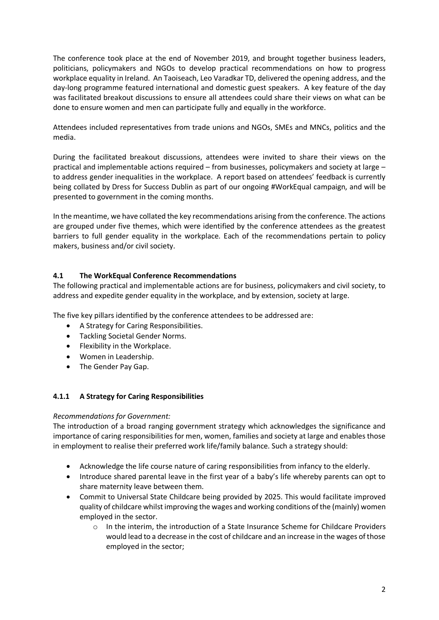The conference took place at the end of November 2019, and brought together business leaders, politicians, policymakers and NGOs to develop practical recommendations on how to progress workplace equality in Ireland. An Taoiseach, Leo Varadkar TD, delivered the opening address, and the day-long programme featured international and domestic guest speakers. A key feature of the day was facilitated breakout discussions to ensure all attendees could share their views on what can be done to ensure women and men can participate fully and equally in the workforce.

Attendees included representatives from trade unions and NGOs, SMEs and MNCs, politics and the media.

During the facilitated breakout discussions, attendees were invited to share their views on the practical and implementable actions required – from businesses, policymakers and society at large – to address gender inequalities in the workplace. A report based on attendees' feedback is currently being collated by Dress for Success Dublin as part of our ongoing #WorkEqual campaign, and will be presented to government in the coming months.

In the meantime, we have collated the key recommendations arising from the conference. The actions are grouped under five themes, which were identified by the conference attendees as the greatest barriers to full gender equality in the workplace. Each of the recommendations pertain to policy makers, business and/or civil society.

### **4.1 The WorkEqual Conference Recommendations**

The following practical and implementable actions are for business, policymakers and civil society, to address and expedite gender equality in the workplace, and by extension, society at large.

The five key pillars identified by the conference attendees to be addressed are:

- A Strategy for Caring Responsibilities.
- Tackling Societal Gender Norms.
- Flexibility in the Workplace.
- Women in Leadership.
- The Gender Pay Gap.

#### **4.1.1 A Strategy for Caring Responsibilities**

#### *Recommendations for Government:*

The introduction of a broad ranging government strategy which acknowledges the significance and importance of caring responsibilities for men, women, families and society at large and enables those in employment to realise their preferred work life/family balance. Such a strategy should:

- Acknowledge the life course nature of caring responsibilities from infancy to the elderly.
- Introduce shared parental leave in the first year of a baby's life whereby parents can opt to share maternity leave between them.
- Commit to Universal State Childcare being provided by 2025. This would facilitate improved quality of childcare whilst improving the wages and working conditions of the (mainly) women employed in the sector.
	- o In the interim, the introduction of a State Insurance Scheme for Childcare Providers would lead to a decrease in the cost of childcare and an increase in the wages of those employed in the sector;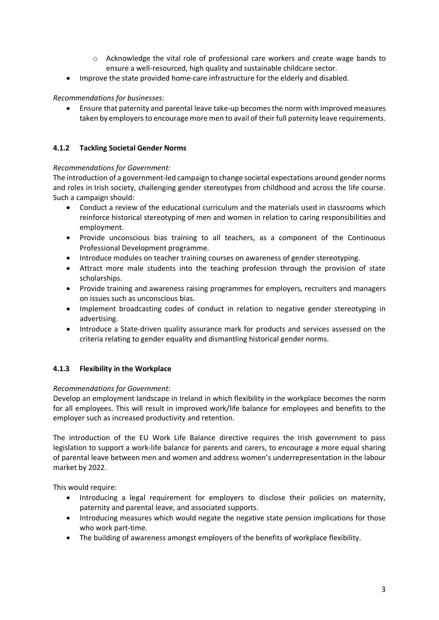- o Acknowledge the vital role of professional care workers and create wage bands to ensure a well-resourced, high quality and sustainable childcare sector.
- Improve the state provided home-care infrastructure for the elderly and disabled.

### *Recommendations for businesses:*

• Ensure that paternity and parental leave take-up becomes the norm with improved measures taken by employers to encourage more men to avail of their full paternity leave requirements.

#### **4.1.2 Tackling Societal Gender Norms**

#### *Recommendations for Government:*

The introduction of a government-led campaign to change societal expectations around gender norms and roles in Irish society, challenging gender stereotypes from childhood and across the life course. Such a campaign should:

- Conduct a review of the educational curriculum and the materials used in classrooms which reinforce historical stereotyping of men and women in relation to caring responsibilities and employment.
- Provide unconscious bias training to all teachers, as a component of the Continuous Professional Development programme.
- Introduce modules on teacher training courses on awareness of gender stereotyping.
- Attract more male students into the teaching profession through the provision of state scholarships.
- Provide training and awareness raising programmes for employers, recruiters and managers on issues such as unconscious bias.
- Implement broadcasting codes of conduct in relation to negative gender stereotyping in advertising.
- Introduce a State-driven quality assurance mark for products and services assessed on the criteria relating to gender equality and dismantling historical gender norms.

### **4.1.3 Flexibility in the Workplace**

#### *Recommendations for Government:*

Develop an employment landscape in Ireland in which flexibility in the workplace becomes the norm for all employees. This will result in improved work/life balance for employees and benefits to the employer such as increased productivity and retention.

The introduction of the EU Work Life Balance directive requires the Irish government to pass legislation to support a work-life balance for parents and carers, to encourage a more equal sharing of parental leave between men and women and address women's underrepresentation in the labour market by 2022.

This would require:

- Introducing a legal requirement for employers to disclose their policies on maternity, paternity and parental leave, and associated supports.
- Introducing measures which would negate the negative state pension implications for those who work part-time.
- The building of awareness amongst employers of the benefits of workplace flexibility.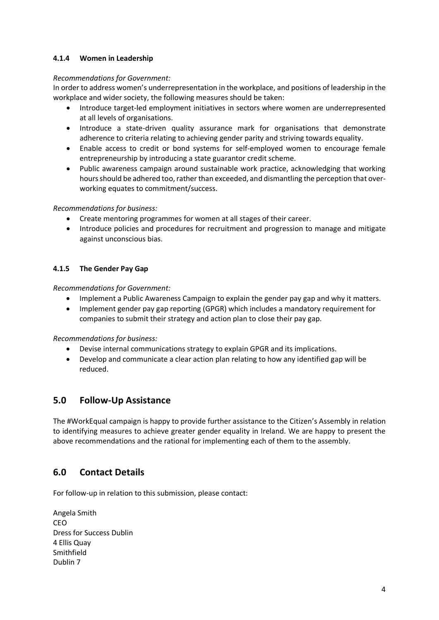#### **4.1.4 Women in Leadership**

#### *Recommendations for Government:*

In order to address women's underrepresentation in the workplace, and positions of leadership in the workplace and wider society, the following measures should be taken:

- Introduce target-led employment initiatives in sectors where women are underrepresented at all levels of organisations.
- Introduce a state-driven quality assurance mark for organisations that demonstrate adherence to criteria relating to achieving gender parity and striving towards equality.
- Enable access to credit or bond systems for self-employed women to encourage female entrepreneurship by introducing a state guarantor credit scheme.
- Public awareness campaign around sustainable work practice, acknowledging that working hours should be adhered too, rather than exceeded, and dismantling the perception that overworking equates to commitment/success.

#### *Recommendations for business:*

- Create mentoring programmes for women at all stages of their career.
- Introduce policies and procedures for recruitment and progression to manage and mitigate against unconscious bias.

#### **4.1.5 The Gender Pay Gap**

*Recommendations for Government:*

- Implement a Public Awareness Campaign to explain the gender pay gap and why it matters.
- Implement gender pay gap reporting (GPGR) which includes a mandatory requirement for companies to submit their strategy and action plan to close their pay gap.

*Recommendations for business:*

- Devise internal communications strategy to explain GPGR and its implications.
- Develop and communicate a clear action plan relating to how any identified gap will be reduced.

## **5.0 Follow-Up Assistance**

The #WorkEqual campaign is happy to provide further assistance to the Citizen's Assembly in relation to identifying measures to achieve greater gender equality in Ireland. We are happy to present the above recommendations and the rational for implementing each of them to the assembly.

## **6.0 Contact Details**

For follow-up in relation to this submission, please contact:

Angela Smith CEO Dress for Success Dublin 4 Ellis Quay Smithfield Dublin 7